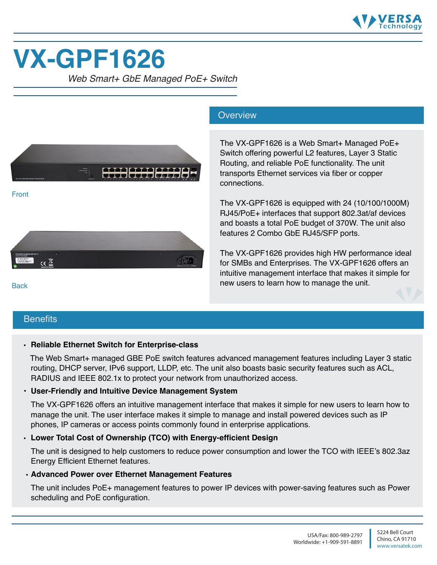

# **VX-GPF1626**

*Web Smart+ GbE Managed PoE+ Switch*



#### **Overview**

The VX-GPF1626 is a Web Smart+ Managed PoE+ Switch offering powerful L2 features, Layer 3 Static Routing, and reliable PoE functionality. The unit transports Ethernet services via fiber or copper connections.

The VX-GPF1626 is equipped with 24 (10/100/1000M) RJ45/PoE+ interfaces that support 802.3at/af devices and boasts a total PoE budget of 370W. The unit also features 2 Combo GbE RJ45/SFP ports.

The VX-GPF1626 provides high HW performance ideal for SMBs and Enterprises. The VX-GPF1626 offers an intuitive management interface that makes it simple for new users to learn how to manage the unit.

#### **Benefits**

**Back** 

#### • **Reliable Ethernet Switch for Enterprise-class**

 The Web Smart+ managed GBE PoE switch features advanced management features including Layer 3 static routing, DHCP server, IPv6 support, LLDP, etc. The unit also boasts basic security features such as ACL, RADIUS and IEEE 802.1x to protect your network from unauthorized access.

#### **• User-Friendly and Intuitive Device Management System**

 The VX-GPF1626 offers an intuitive management interface that makes it simple for new users to learn how to manage the unit. The user interface makes it simple to manage and install powered devices such as IP phones, IP cameras or access points commonly found in enterprise applications.

#### • **Lower Total Cost of Ownership (TCO) with Energy-efficient Design**

The unit is designed to help customers to reduce power consumption and lower the TCO with IEEE's 802.3az Energy Efficient Ethernet features.

#### • **Advanced Power over Ethernet Management Features**

The unit includes PoE+ management features to power IP devices with power-saving features such as Power scheduling and PoE configuration.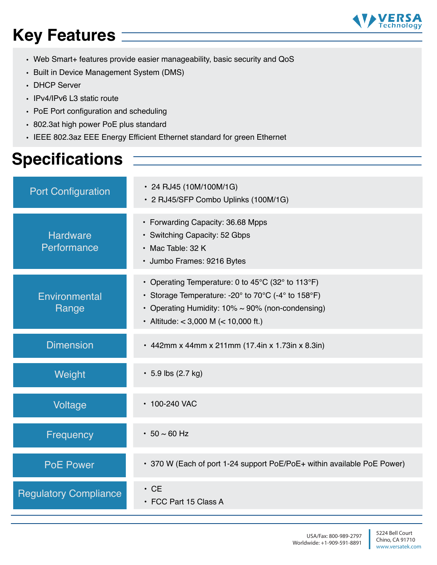# **Key Features**

- Web Smart+ features provide easier manageability, basic security and QoS
- Built in Device Management System (DMS)
- DHCP Server
- IPv4/IPv6 L3 static route
- PoE Port configuration and scheduling
- 802.3at high power PoE plus standard
- IEEE 802.3az EEE Energy Efficient Ethernet standard for green Ethernet

## **Specifications**

| <b>Port Configuration</b>      | • 24 RJ45 (10M/100M/1G)<br>· 2 RJ45/SFP Combo Uplinks (100M/1G)                                                                                                                                                                                                      |
|--------------------------------|----------------------------------------------------------------------------------------------------------------------------------------------------------------------------------------------------------------------------------------------------------------------|
| <b>Hardware</b><br>Performance | • Forwarding Capacity: 36.68 Mpps<br>• Switching Capacity: 52 Gbps<br>• Mac Table: 32 K<br>· Jumbo Frames: 9216 Bytes                                                                                                                                                |
| Environmental<br>Range         | • Operating Temperature: 0 to 45 $\mathrm{^{\circ}C}$ (32 $\mathrm{^{\circ}}$ to 113 $\mathrm{^{\circ}F}$ )<br>• Storage Temperature: -20° to 70°C (-4° to 158°F)<br>• Operating Humidity: $10\% \sim 90\%$ (non-condensing)<br>• Altitude: < 3,000 M (< 10,000 ft.) |
| <b>Dimension</b>               | • 442mm x 44mm x 211mm (17.4in x 1.73in x 8.3in)                                                                                                                                                                                                                     |
| Weight                         | $\cdot$ 5.9 lbs (2.7 kg)                                                                                                                                                                                                                                             |
| Voltage                        | • 100-240 VAC                                                                                                                                                                                                                                                        |
| Frequency                      | • $50 \sim 60$ Hz                                                                                                                                                                                                                                                    |
| <b>PoE Power</b>               | • 370 W (Each of port 1-24 support PoE/PoE+ within available PoE Power)                                                                                                                                                                                              |
| <b>Regulatory Compliance</b>   | $\cdot$ CE<br>• FCC Part 15 Class A                                                                                                                                                                                                                                  |

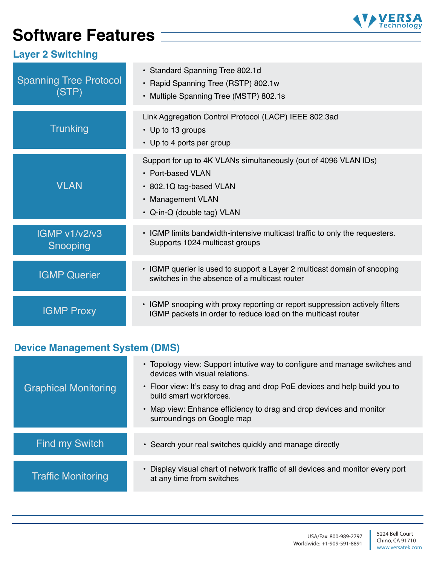## **Software Features**



### **Layer 2 Switching**

| <b>Spanning Tree Protocol</b><br>(STP) | • Standard Spanning Tree 802.1d<br>• Rapid Spanning Tree (RSTP) 802.1w<br>• Multiple Spanning Tree (MSTP) 802.1s                                                    |
|----------------------------------------|---------------------------------------------------------------------------------------------------------------------------------------------------------------------|
| <b>Trunking</b>                        | Link Aggregation Control Protocol (LACP) IEEE 802.3ad<br>• Up to 13 groups<br>• Up to 4 ports per group                                                             |
| <b>VLAN</b>                            | Support for up to 4K VLANs simultaneously (out of 4096 VLAN IDs)<br>• Port-based VLAN<br>• 802.1Q tag-based VLAN<br>• Management VLAN<br>• Q-in-Q (double tag) VLAN |
| <b>IGMP v1/v2/v3</b><br>Snooping       | • IGMP limits bandwidth-intensive multicast traffic to only the requesters.<br>Supports 1024 multicast groups                                                       |
| <b>IGMP Querier</b>                    | • IGMP querier is used to support a Layer 2 multicast domain of snooping<br>switches in the absence of a multicast router                                           |
| <b>IGMP Proxy</b>                      | • IGMP snooping with proxy reporting or report suppression actively filters<br>IGMP packets in order to reduce load on the multicast router                         |

### **Device Management System (DMS)**

| <b>Graphical Monitoring</b> | • Topology view: Support intutive way to configure and manage switches and<br>devices with visual relations.<br>• Floor view: It's easy to drag and drop PoE devices and help build you to<br>build smart workforces.<br>• Map view: Enhance efficiency to drag and drop devices and monitor<br>surroundings on Google map |
|-----------------------------|----------------------------------------------------------------------------------------------------------------------------------------------------------------------------------------------------------------------------------------------------------------------------------------------------------------------------|
| <b>Find my Switch</b>       | • Search your real switches quickly and manage directly                                                                                                                                                                                                                                                                    |
| <b>Traffic Monitoring</b>   | Display visual chart of network traffic of all devices and monitor every port<br>at any time from switches                                                                                                                                                                                                                 |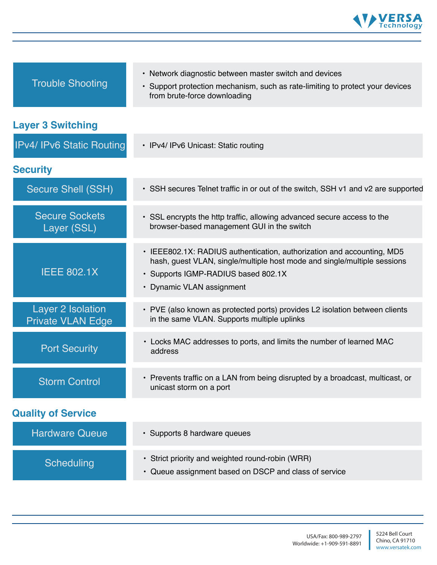

| <b>Trouble Shooting</b>                       | • Network diagnostic between master switch and devices<br>• Support protection mechanism, such as rate-limiting to protect your devices<br>from brute-force downloading                                                |
|-----------------------------------------------|------------------------------------------------------------------------------------------------------------------------------------------------------------------------------------------------------------------------|
| <b>Layer 3 Switching</b>                      |                                                                                                                                                                                                                        |
| <b>IPv4/ IPv6 Static Routing</b>              | • IPv4/ IPv6 Unicast: Static routing                                                                                                                                                                                   |
| <b>Security</b>                               |                                                                                                                                                                                                                        |
| <b>Secure Shell (SSH)</b>                     | • SSH secures Telnet traffic in or out of the switch, SSH v1 and v2 are supported                                                                                                                                      |
| <b>Secure Sockets</b><br>Layer (SSL)          | • SSL encrypts the http traffic, allowing advanced secure access to the<br>browser-based management GUI in the switch                                                                                                  |
| <b>IEEE 802.1X</b>                            | • IEEE802.1X: RADIUS authentication, authorization and accounting, MD5<br>hash, guest VLAN, single/multiple host mode and single/multiple sessions<br>· Supports IGMP-RADIUS based 802.1X<br>• Dynamic VLAN assignment |
| Layer 2 Isolation<br><b>Private VLAN Edge</b> | • PVE (also known as protected ports) provides L2 isolation between clients<br>in the same VLAN. Supports multiple uplinks                                                                                             |
| <b>Port Security</b>                          | • Locks MAC addresses to ports, and limits the number of learned MAC<br>address                                                                                                                                        |
| <b>Storm Control</b>                          | • Prevents traffic on a LAN from being disrupted by a broadcast, multicast, or<br>unicast storm on a port                                                                                                              |
| <b>Quality of Service</b>                     |                                                                                                                                                                                                                        |
| <b>Hardware Queue</b>                         | · Supports 8 hardware queues                                                                                                                                                                                           |
| <b>Scheduling</b>                             | • Strict priority and weighted round-robin (WRR)<br>Queue assignment based on DSCP and class of service<br>$\bullet$                                                                                                   |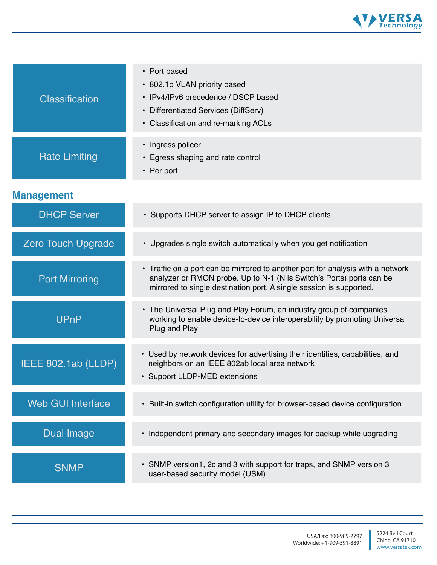

| <b>Classification</b>     | • Port based<br>• 802.1p VLAN priority based<br>• IPv4/IPv6 precedence / DSCP based<br>• Differentiated Services (DiffServ)<br>• Classification and re-marking ACLs                                                            |
|---------------------------|--------------------------------------------------------------------------------------------------------------------------------------------------------------------------------------------------------------------------------|
| <b>Rate Limiting</b>      | • Ingress policer<br>• Egress shaping and rate control<br>$\cdot$ Per port                                                                                                                                                     |
| <b>Management</b>         |                                                                                                                                                                                                                                |
| <b>DHCP Server</b>        | • Supports DHCP server to assign IP to DHCP clients                                                                                                                                                                            |
| <b>Zero Touch Upgrade</b> | • Upgrades single switch automatically when you get notification                                                                                                                                                               |
| <b>Port Mirroring</b>     | • Traffic on a port can be mirrored to another port for analysis with a network<br>analyzer or RMON probe. Up to N-1 (N is Switch's Ports) ports can be<br>mirrored to single destination port. A single session is supported. |
| <b>UPnP</b>               | • The Universal Plug and Play Forum, an industry group of companies<br>working to enable device-to-device interoperability by promoting Universal<br>Plug and Play                                                             |
| IEEE 802.1ab (LLDP)       | • Used by network devices for advertising their identities, capabilities, and<br>neighbors on an IEEE 802ab local area network<br>• Support LLDP-MED extensions                                                                |
| <b>Web GUI Interface</b>  | • Built-in switch configuration utility for browser-based device configuration                                                                                                                                                 |
| <b>Dual Image</b>         | • Independent primary and secondary images for backup while upgrading                                                                                                                                                          |
| <b>SNMP</b>               | • SNMP version1, 2c and 3 with support for traps, and SNMP version 3<br>user-based security model (USM)                                                                                                                        |